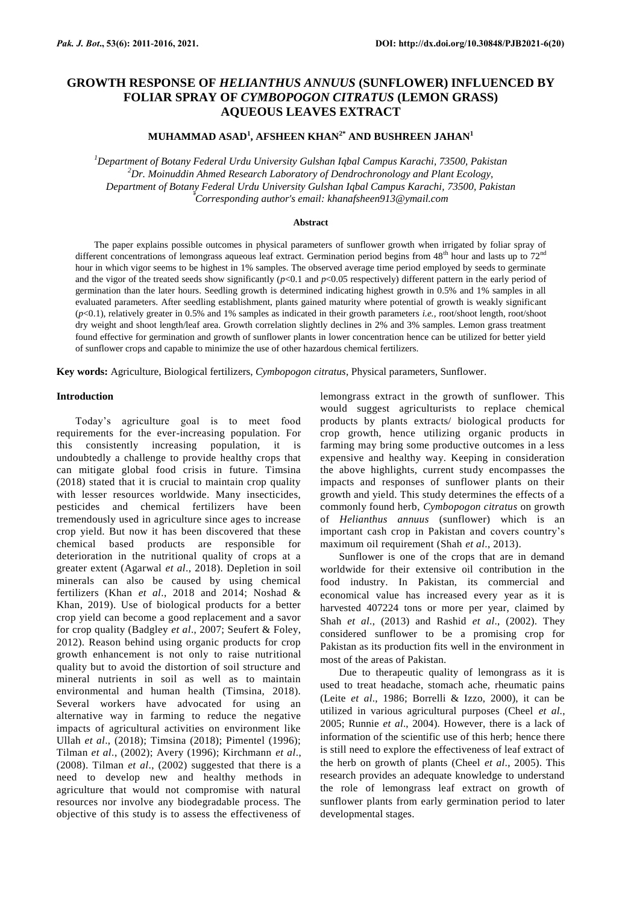# **GROWTH RESPONSE OF** *HELIANTHUS ANNUUS* **(SUNFLOWER) INFLUENCED BY FOLIAR SPRAY OF** *CYMBOPOGON CITRATUS* **(LEMON GRASS) AQUEOUS LEAVES EXTRACT**

## **MUHAMMAD ASAD<sup>1</sup> , AFSHEEN KHAN2\* AND BUSHREEN JAHAN<sup>1</sup>**

*<sup>1</sup>Department of Botany Federal Urdu University Gulshan Iqbal Campus Karachi, 73500, Pakistan <sup>2</sup>Dr. Moinuddin Ahmed Research Laboratory of Dendrochronology and Plant Ecology, Department of Botany Federal Urdu University Gulshan Iqbal Campus Karachi, 73500, Pakistan* \**Corresponding author's email: khanafsheen913@ymail.com*

#### **Abstract**

The paper explains possible outcomes in physical parameters of sunflower growth when irrigated by foliar spray of different concentrations of lemongrass aqueous leaf extract. Germination period begins from  $48<sup>th</sup>$  hour and lasts up to  $72<sup>nd</sup>$ hour in which vigor seems to be highest in 1% samples. The observed average time period employed by seeds to germinate and the vigor of the treated seeds show significantly  $(p<0.1$  and  $p<0.05$  respectively) different pattern in the early period of germination than the later hours. Seedling growth is determined indicating highest growth in 0.5% and 1% samples in all evaluated parameters. After seedling establishment, plants gained maturity where potential of growth is weakly significant (*p*<0.1), relatively greater in 0.5% and 1% samples as indicated in their growth parameters *i.e.,* root/shoot length, root/shoot dry weight and shoot length/leaf area. Growth correlation slightly declines in 2% and 3% samples. Lemon grass treatment found effective for germination and growth of sunflower plants in lower concentration hence can be utilized for better yield of sunflower crops and capable to minimize the use of other hazardous chemical fertilizers.

**Key words:** Agriculture, Biological fertilizers, *Cymbopogon citratus*, Physical parameters, Sunflower.

## **Introduction**

Today's agriculture goal is to meet food requirements for the ever-increasing population. For this consistently increasing population, it is undoubtedly a challenge to provide healthy crops that can mitigate global food crisis in future. Timsina (2018) stated that it is crucial to maintain crop quality with lesser resources worldwide. Many insecticides, pesticides and chemical fertilizers have been tremendously used in agriculture since ages to increase crop yield. But now it has been discovered that these chemical based products are responsible for deterioration in the nutritional quality of crops at a greater extent (Agarwal *et al*., 2018). Depletion in soil minerals can also be caused by using chemical fertilizers (Khan *et al*., 2018 and 2014; Noshad & Khan, 2019). Use of biological products for a better crop yield can become a good replacement and a savor for crop quality (Badgley *et al*., 2007; Seufert & Foley, 2012). Reason behind using organic products for crop growth enhancement is not only to raise nutritional quality but to avoid the distortion of soil structure and mineral nutrients in soil as well as to maintain environmental and human health (Timsina, 2018). Several workers have advocated for using an alternative way in farming to reduce the negative impacts of agricultural activities on environment like Ullah *et al*., (2018); Timsina (2018); Pimentel (1996); Tilman *et al*., (2002); Avery (1996); Kirchmann *et al*., (2008). Tilman *et al*., (2002) suggested that there is a need to develop new and healthy methods in agriculture that would not compromise with natural resources nor involve any biodegradable process. The objective of this study is to assess the effectiveness of

lemongrass extract in the growth of sunflower. This would suggest agriculturists to replace chemical products by plants extracts/ biological products for crop growth, hence utilizing organic products in farming may bring some productive outcomes in a less expensive and healthy way. Keeping in consideration the above highlights, current study encompasses the impacts and responses of sunflower plants on their growth and yield. This study determines the effects of a commonly found herb, *Cymbopogon citratus* on growth of *Helianthus annuus* (sunflower) which is an important cash crop in Pakistan and covers country's maximum oil requirement (Shah *et al*., 2013).

Sunflower is one of the crops that are in demand worldwide for their extensive oil contribution in the food industry. In Pakistan, its commercial and economical value has increased every year as it is harvested 407224 tons or more per year, claimed by Shah *et al*., (2013) and Rashid *et al*., (2002). They considered sunflower to be a promising crop for Pakistan as its production fits well in the environment in most of the areas of Pakistan.

Due to therapeutic quality of lemongrass as it is used to treat headache, stomach ache, rheumatic pains (Leite *et al*., 1986; Borrelli & Izzo, 2000), it can be utilized in various agricultural purposes (Cheel *et al*., 2005; Runnie *et al*., 2004). However, there is a lack of information of the scientific use of this herb; hence there is still need to explore the effectiveness of leaf extract of the herb on growth of plants (Cheel *et al*., 2005). This research provides an adequate knowledge to understand the role of lemongrass leaf extract on growth of sunflower plants from early germination period to later developmental stages.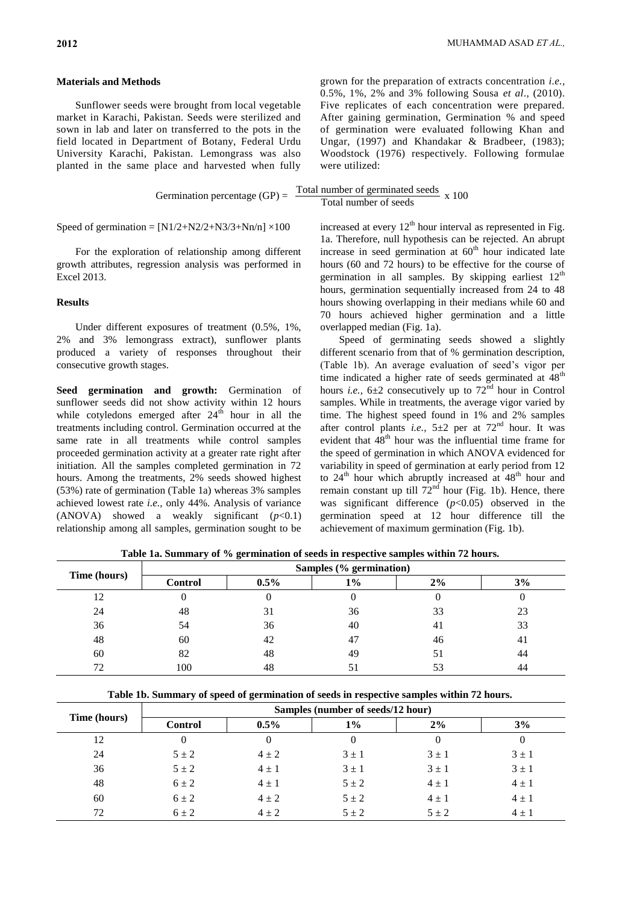## **Materials and Methods**

Sunflower seeds were brought from local vegetable market in Karachi, Pakistan. Seeds were sterilized and sown in lab and later on transferred to the pots in the field located in Department of Botany, Federal Urdu University Karachi, Pakistan. Lemongrass was also planted in the same place and harvested when fully grown for the preparation of extracts concentration *i.e.,* 0.5%, 1%, 2% and 3% following Sousa *et al*., (2010). Five replicates of each concentration were prepared. After gaining germination, Germination % and speed of germination were evaluated following Khan and Ungar, (1997) and Khandakar & Bradbeer, (1983); Woodstock (1976) respectively. Following formulae were utilized:

$$
Germanation percentage (GP) = \frac{Total number of germinated seeds}{Total number of seeds} \times 100
$$

Speed of germination =  $[N1/2+N2/2+N3/3+Nn/n] \times 100$ 

For the exploration of relationship among different growth attributes, regression analysis was performed in Excel 2013.

## **Results**

Under different exposures of treatment (0.5%, 1%, 2% and 3% lemongrass extract), sunflower plants produced a variety of responses throughout their consecutive growth stages.

**Seed germination and growth:** Germination of sunflower seeds did not show activity within 12 hours while cotyledons emerged after  $24<sup>th</sup>$  hour in all the treatments including control. Germination occurred at the same rate in all treatments while control samples proceeded germination activity at a greater rate right after initiation. All the samples completed germination in 72 hours. Among the treatments, 2% seeds showed highest (53%) rate of germination (Table 1a) whereas 3% samples achieved lowest rate *i.e.,* only 44%. Analysis of variance (ANOVA) showed a weakly significant  $(p<0.1)$ relationship among all samples, germination sought to be

increased at every  $12<sup>th</sup>$  hour interval as represented in Fig. 1a. Therefore, null hypothesis can be rejected. An abrupt increase in seed germination at  $60<sup>th</sup>$  hour indicated late hours (60 and 72 hours) to be effective for the course of germination in all samples. By skipping earliest  $12<sup>th</sup>$ hours, germination sequentially increased from 24 to 48 hours showing overlapping in their medians while 60 and 70 hours achieved higher germination and a little overlapped median (Fig. 1a).

Speed of germinating seeds showed a slightly different scenario from that of % germination description, (Table 1b). An average evaluation of seed's vigor per time indicated a higher rate of seeds germinated at  $48<sup>th</sup>$ hours *i.e.*,  $6\pm 2$  consecutively up to  $72<sup>nd</sup>$  hour in Control samples. While in treatments, the average vigor varied by time. The highest speed found in 1% and 2% samples after control plants *i.e.*,  $5\pm 2$  per at  $72<sup>nd</sup>$  hour. It was evident that  $48<sup>th</sup>$  hour was the influential time frame for the speed of germination in which ANOVA evidenced for variability in speed of germination at early period from 12 to  $24<sup>th</sup>$  hour which abruptly increased at  $48<sup>th</sup>$  hour and remain constant up till  $72<sup>nd</sup>$  hour (Fig. 1b). Hence, there was significant difference  $(p<0.05)$  observed in the germination speed at 12 hour difference till the achievement of maximum germination (Fig. 1b).

**Table 1a. Summary of % germination of seeds in respective samples within 72 hours.**  $\mathbf{S} = \mathbf{S} \mathbf{S}$ 

|              | $S$ ampies $(70 \text{ g}$ ermination) |         |    |    |     |  |  |
|--------------|----------------------------------------|---------|----|----|-----|--|--|
| Time (hours) | <b>Control</b>                         | $0.5\%$ | 1% | 2% | 3%  |  |  |
| 12           | v                                      |         | U  | U  |     |  |  |
| 24           | 48                                     | 31      | 36 | 33 | 23  |  |  |
| 36           | 54                                     | 36      | 40 | 41 | 33  |  |  |
| 48           | 60                                     | 42      | 47 | 46 | -41 |  |  |
| 60           | 82                                     | 48      | 49 | 51 | 44  |  |  |
| 72           | 100                                    | 48      |    | 53 | 44  |  |  |

**Table 1b. Summary of speed of germination of seeds in respective samples within 72 hours.**

| Time (hours) | Samples (number of seeds/12 hour) |           |           |           |           |  |  |
|--------------|-----------------------------------|-----------|-----------|-----------|-----------|--|--|
|              | <b>Control</b>                    | $0.5\%$   | $1\%$     | 2%        | 3%        |  |  |
| 12           |                                   | $\theta$  | $\theta$  | $_{0}$    |           |  |  |
| 24           | $5 \pm 2$                         | $4 \pm 2$ | $3 \pm 1$ | $3 \pm 1$ | $3 \pm 1$ |  |  |
| 36           | $5 \pm 2$                         | $4 \pm 1$ | $3 \pm 1$ | $3 \pm 1$ | $3 \pm 1$ |  |  |
| 48           | $6 \pm 2$                         | $4 \pm 1$ | $5 \pm 2$ | $4 \pm 1$ | $4 \pm 1$ |  |  |
| 60           | $6 \pm 2$                         | $4 \pm 2$ | $5 \pm 2$ | $4 \pm 1$ | $4 \pm 1$ |  |  |
| 72           | $6 + 2$                           | $4 \pm 2$ | $5 + 2$   | $5 + 2$   | $4 \pm 1$ |  |  |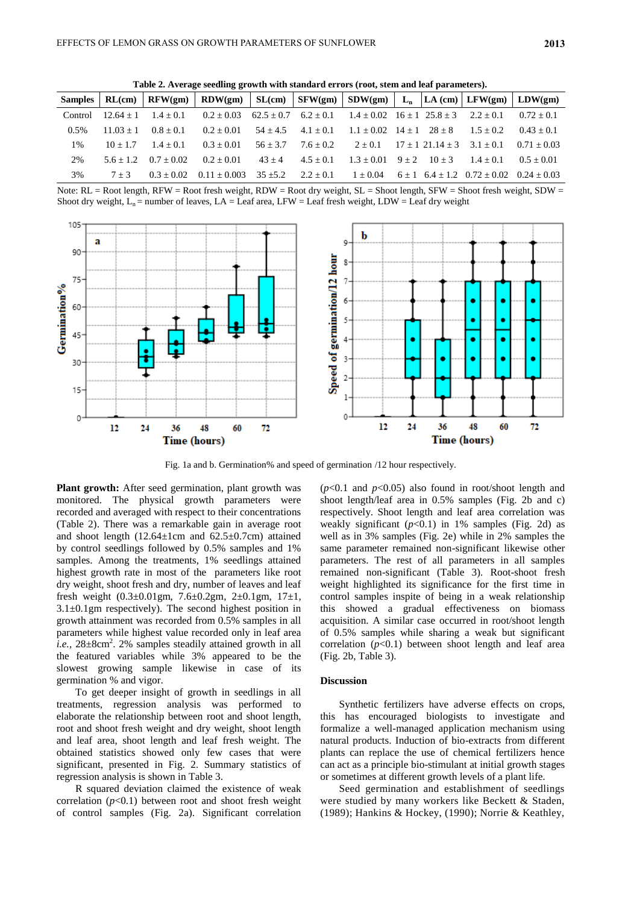**Table 2. Average seedling growth with standard errors (root, stem and leaf parameters).**

|         |                         |              | Samples   RL(cm)   RFW(gm)   RDW(gm)   SL(cm)   SFW(gm)   SDW(gm)   L <sub>n</sub>   LA(cm)   LFW(gm)   LDW(gm) |                        |                                   |                                                     |  |                                         |                |
|---------|-------------------------|--------------|-----------------------------------------------------------------------------------------------------------------|------------------------|-----------------------------------|-----------------------------------------------------|--|-----------------------------------------|----------------|
| Control | $12.64 + 1$ $1.4 + 0.1$ |              | $0.2 \pm 0.03$ $62.5 \pm 0.7$ $6.2 \pm 0.1$ $1.4 \pm 0.02$ $16 \pm 1$ $25.8 \pm 3$ $2.2 \pm 0.1$                |                        |                                   |                                                     |  |                                         | $0.72 \pm 0.1$ |
| 0.5%    | $11.03 + 1$             | $0.8 + 0.1$  | $0.2 + 0.01$                                                                                                    | $54 + 4.5$ $4.1 + 0.1$ |                                   | $1.1 + 0.02$ $14 + 1$ $28 + 8$                      |  | $1.5 + 0.2$                             | $0.43 + 0.1$   |
| $1\%$   | $10 + 1.7$              | $1.4 + 0.1$  | $0.3 + 0.01$                                                                                                    | $56 + 3.7$             |                                   | $7.6 + 0.2$ $2 + 0.1$ $17 + 121.14 + 3$ $3.1 + 0.1$ |  |                                         | $0.71 + 0.03$  |
| 2%      | $5.6 + 1.2$             | $0.7 + 0.02$ | $0.2 + 0.01$                                                                                                    | $43 + 4$               | $4.5 + 0.1$                       | $1.3 + 0.01$ $9 + 2$ $10 + 3$ $1.4 + 0.1$           |  |                                         | $0.5 + 0.01$   |
| 3%      | $7 + 3$                 | $0.3 + 0.02$ | $0.11 + 0.003$                                                                                                  |                        | $35 + 5.2$ $2.2 + 0.1$ $1 + 0.04$ |                                                     |  | $6+1$ $6.4+1.2$ $0.72+0.02$ $0.24+0.03$ |                |

Note:  $RL = Root$  length,  $RFW = Root$  fresh weight,  $RDW = Root$  dry weight,  $SL = Short$  length,  $SFW = Short$  fresh weight,  $SDW =$ Shoot dry weight,  $L_n$  = number of leaves,  $LA$  = Leaf area, LFW = Leaf fresh weight, LDW = Leaf dry weight



Fig. 1a and b. Germination% and speed of germination /12 hour respectively.

**Plant growth:** After seed germination, plant growth was monitored. The physical growth parameters were recorded and averaged with respect to their concentrations (Table 2). There was a remarkable gain in average root and shoot length  $(12.64 \pm 1$ cm and  $62.5 \pm 0.7$ cm) attained by control seedlings followed by 0.5% samples and 1% samples. Among the treatments, 1% seedlings attained highest growth rate in most of the parameters like root dry weight, shoot fresh and dry, number of leaves and leaf fresh weight  $(0.3\pm0.01\,\text{gm}, 7.6\pm0.2\,\text{gm}, 2\pm0.1\,\text{gm}, 17\pm1,$ 3.1±0.1gm respectively). The second highest position in growth attainment was recorded from 0.5% samples in all parameters while highest value recorded only in leaf area i.e., 28±8cm<sup>2</sup>. 2% samples steadily attained growth in all the featured variables while 3% appeared to be the slowest growing sample likewise in case of its germination % and vigor.

To get deeper insight of growth in seedlings in all treatments, regression analysis was performed to elaborate the relationship between root and shoot length, root and shoot fresh weight and dry weight, shoot length and leaf area, shoot length and leaf fresh weight. The obtained statistics showed only few cases that were significant, presented in Fig. 2. Summary statistics of regression analysis is shown in Table 3.

R squared deviation claimed the existence of weak correlation  $(p<0.1)$  between root and shoot fresh weight of control samples (Fig. 2a). Significant correlation

 $(p<0.1$  and  $p<0.05$ ) also found in root/shoot length and shoot length/leaf area in 0.5% samples (Fig. 2b and c) respectively. Shoot length and leaf area correlation was weakly significant  $(p<0.1)$  in 1% samples (Fig. 2d) as well as in 3% samples (Fig. 2e) while in 2% samples the same parameter remained non-significant likewise other parameters. The rest of all parameters in all samples remained non-significant (Table 3). Root-shoot fresh weight highlighted its significance for the first time in control samples inspite of being in a weak relationship this showed a gradual effectiveness on biomass acquisition. A similar case occurred in root/shoot length of 0.5% samples while sharing a weak but significant correlation  $(p<0.1)$  between shoot length and leaf area (Fig. 2b, Table 3).

#### **Discussion**

Synthetic fertilizers have adverse effects on crops, this has encouraged biologists to investigate and formalize a well-managed application mechanism using natural products. Induction of bio-extracts from different plants can replace the use of chemical fertilizers hence can act as a principle bio-stimulant at initial growth stages or sometimes at different growth levels of a plant life.

Seed germination and establishment of seedlings were studied by many workers like Beckett & Staden, (1989); Hankins & Hockey, (1990); Norrie & Keathley,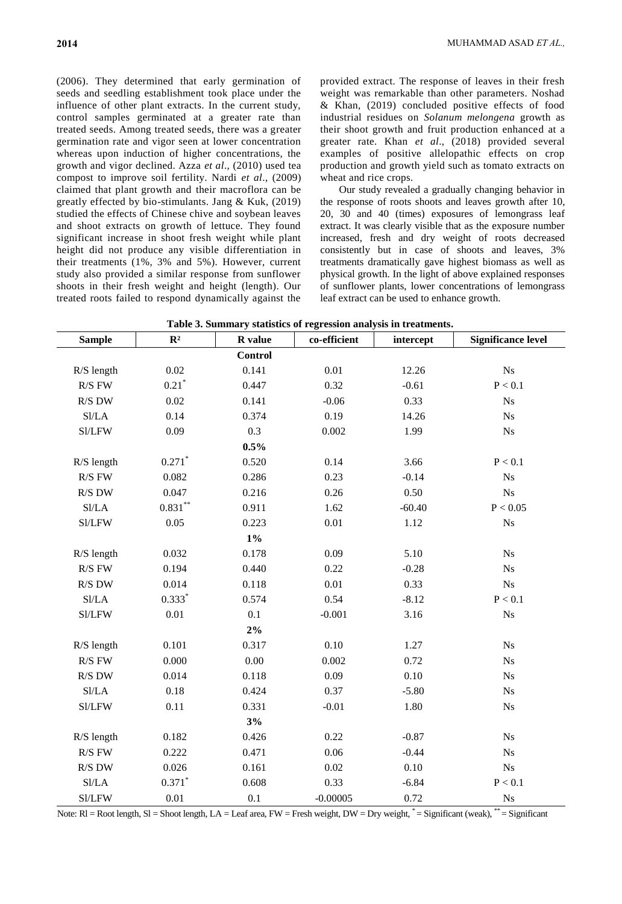(2006). They determined that early germination of seeds and seedling establishment took place under the influence of other plant extracts. In the current study, control samples germinated at a greater rate than treated seeds. Among treated seeds, there was a greater germination rate and vigor seen at lower concentration whereas upon induction of higher concentrations, the growth and vigor declined. Azza *et al*., (2010) used tea compost to improve soil fertility. Nardi *et al*., (2009) claimed that plant growth and their macroflora can be greatly effected by bio-stimulants. Jang & Kuk, (2019) studied the effects of Chinese chive and soybean leaves and shoot extracts on growth of lettuce. They found significant increase in shoot fresh weight while plant height did not produce any visible differentiation in their treatments (1%, 3% and 5%). However, current study also provided a similar response from sunflower shoots in their fresh weight and height (length). Our treated roots failed to respond dynamically against the provided extract. The response of leaves in their fresh weight was remarkable than other parameters. Noshad & Khan, (2019) concluded positive effects of food industrial residues on *Solanum melongena* growth as their shoot growth and fruit production enhanced at a greater rate. Khan *et al*., (2018) provided several examples of positive allelopathic effects on crop production and growth yield such as tomato extracts on wheat and rice crops.

Our study revealed a gradually changing behavior in the response of roots shoots and leaves growth after 10, 20, 30 and 40 (times) exposures of lemongrass leaf extract. It was clearly visible that as the exposure number increased, fresh and dry weight of roots decreased consistently but in case of shoots and leaves, 3% treatments dramatically gave highest biomass as well as physical growth. In the light of above explained responses of sunflower plants, lower concentrations of lemongrass leaf extract can be used to enhance growth.

| <b>Sample</b>      | $\mathbf{R}^2$       | R value        | co-efficient | intercept | <b>Significance level</b> |
|--------------------|----------------------|----------------|--------------|-----------|---------------------------|
|                    |                      | <b>Control</b> |              |           |                           |
| R/S length         | $0.02\,$             | 0.141          | 0.01         | 12.26     | $\mathrm{Ns}$             |
| $R/S$ FW           | $0.21*$              | 0.447          | 0.32         | $-0.61$   | P < 0.1                   |
| R/S DW             | 0.02                 | 0.141          | $-0.06$      | 0.33      | N <sub>s</sub>            |
| S1/LA              | 0.14                 | 0.374          | 0.19         | 14.26     | N <sub>s</sub>            |
| Sl/LFW             | 0.09                 | 0.3            | 0.002        | 1.99      | Ns                        |
|                    |                      | 0.5%           |              |           |                           |
| R/S length         | $0.271$ <sup>*</sup> | 0.520          | 0.14         | 3.66      | P < 0.1                   |
| $R/S$ $FW$         | 0.082                | 0.286          | 0.23         | $-0.14$   | N <sub>s</sub>            |
| $R/S$ DW           | 0.047                | 0.216          | 0.26         | 0.50      | N <sub>s</sub>            |
| Sl/LA              | $0.831^{\ast\ast}$   | 0.911          | 1.62         | $-60.40$  | P < 0.05                  |
| Sl/LFW             | 0.05                 | 0.223          | $0.01\,$     | 1.12      | $\mathrm{Ns}$             |
|                    |                      | $1\%$          |              |           |                           |
| R/S length         | 0.032                | 0.178          | 0.09         | 5.10      | N <sub>s</sub>            |
| $R/S$ FW           | 0.194                | 0.440          | 0.22         | $-0.28$   | Ns                        |
| $R/S$ DW           | 0.014                | 0.118          | 0.01         | 0.33      | $\mathbf{N}\mathbf{s}$    |
| S1/LA              | $0.333*$             | 0.574          | 0.54         | $-8.12$   | P < 0.1                   |
| Sl/LFW             | 0.01                 | 0.1            | $-0.001$     | 3.16      | $\mathrm{Ns}$             |
|                    |                      | $2\%$          |              |           |                           |
| R/S length         | 0.101                | 0.317          | 0.10         | 1.27      | Ns                        |
| $R/S$ FW           | 0.000                | 0.00           | 0.002        | 0.72      | N <sub>s</sub>            |
| $R/S$ DW           | 0.014                | 0.118          | 0.09         | 0.10      | Ns                        |
| S1/LA              | 0.18                 | 0.424          | 0.37         | $-5.80$   | $\mathrm{Ns}$             |
| Sl/LFW             | 0.11                 | 0.331          | $-0.01$      | 1.80      | Ns                        |
|                    |                      | 3%             |              |           |                           |
| R/S length         | 0.182                | 0.426          | 0.22         | $-0.87$   | Ns                        |
| $R/S$ FW           | 0.222                | 0.471          | 0.06         | $-0.44$   | $\mathrm{Ns}$             |
| R/S DW             | 0.026                | 0.161          | 0.02         | 0.10      | Ns                        |
| S <sub>1</sub> /LA | $0.371$ *            | 0.608          | 0.33         | $-6.84$   | P < 0.1                   |
| Sl/LFW             | 0.01                 | 0.1            | $-0.00005$   | 0.72      | N <sub>s</sub>            |

**Table 3. Summary statistics of regression analysis in treatments.**

Note:  $RI = Root$  length,  $SI = Short$  length,  $LA = Leaf$  area,  $FW =$  Fresh weight,  $DW = Dry$  weight,  $* = Significant$  (weak),  $** = Significant$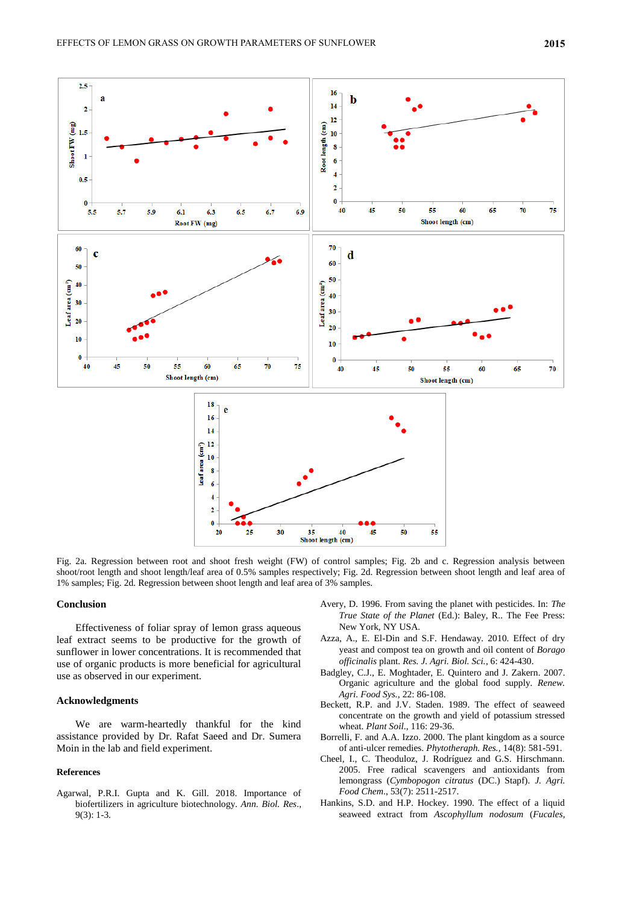

Fig. 2a. Regression between root and shoot fresh weight (FW) of control samples; Fig. 2b and c. Regression analysis between shoot/root length and shoot length/leaf area of 0.5% samples respectively; Fig. 2d. Regression between shoot length and leaf area of 1% samples; Fig. 2d. Regression between shoot length and leaf area of 3% samples.

#### **Conclusion**

Effectiveness of foliar spray of lemon grass aqueous leaf extract seems to be productive for the growth of sunflower in lower concentrations. It is recommended that use of organic products is more beneficial for agricultural use as observed in our experiment.

#### **Acknowledgments**

We are warm-heartedly thankful for the kind assistance provided by Dr. Rafat Saeed and Dr. Sumera Moin in the lab and field experiment.

#### **References**

Agarwal, P.R.I. Gupta and K. Gill. 2018. Importance of biofertilizers in agriculture biotechnology. *Ann. Biol. Res*., 9(3): 1-3.

- Avery, D. 1996. From saving the planet with pesticides. In: *The True State of the Planet* (Ed.): Baley, R.. The Fee Press: New York, NY USA.
- Azza, A., E. El-Din and S.F. Hendaway. 2010. Effect of dry yeast and compost tea on growth and oil content of *Borago officinalis* plant. *Res. J. Agri. Biol. Sci.*, 6: 424-430.
- Badgley, C.J., E. Moghtader, E. Quintero and J. Zakern. 2007. Organic agriculture and the global food supply. *Renew. Agri. Food Sys.,* 22: 86-108.
- Beckett, R.P. and J.V. Staden. 1989. The effect of seaweed concentrate on the growth and yield of potassium stressed wheat. *Plant Soil*., 116: 29-36.
- Borrelli, F. and A.A. Izzo. 2000. The plant kingdom as a source of anti-ulcer remedies. *Phytotheraph. Res.,* 14(8): 581-591.
- Cheel, I., C. Theoduloz, J. Rodríguez and G.S. Hirschmann. 2005. Free radical scavengers and antioxidants from lemongrass (*Cymbopogon citratus* (DC.) Stapf). *J. Agri. Food Chem*., 53(7): 2511-2517.
- Hankins, S.D. and H.P. Hockey. 1990. The effect of a liquid seaweed extract from *Ascophyllum nodosum* (*Fucales,*